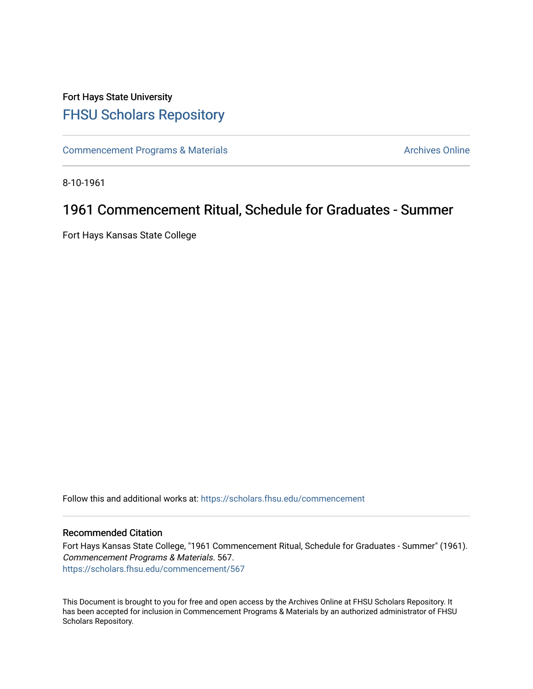#### Fort Hays State University [FHSU Scholars Repository](https://scholars.fhsu.edu/)

[Commencement Programs & Materials](https://scholars.fhsu.edu/commencement) **Archives Online** Archives Online

8-10-1961

#### 1961 Commencement Ritual, Schedule for Graduates - Summer

Fort Hays Kansas State College

Follow this and additional works at: [https://scholars.fhsu.edu/commencement](https://scholars.fhsu.edu/commencement?utm_source=scholars.fhsu.edu%2Fcommencement%2F567&utm_medium=PDF&utm_campaign=PDFCoverPages)

#### Recommended Citation

Fort Hays Kansas State College, "1961 Commencement Ritual, Schedule for Graduates - Summer" (1961). Commencement Programs & Materials. 567. [https://scholars.fhsu.edu/commencement/567](https://scholars.fhsu.edu/commencement/567?utm_source=scholars.fhsu.edu%2Fcommencement%2F567&utm_medium=PDF&utm_campaign=PDFCoverPages)

This Document is brought to you for free and open access by the Archives Online at FHSU Scholars Repository. It has been accepted for inclusion in Commencement Programs & Materials by an authorized administrator of FHSU Scholars Repository.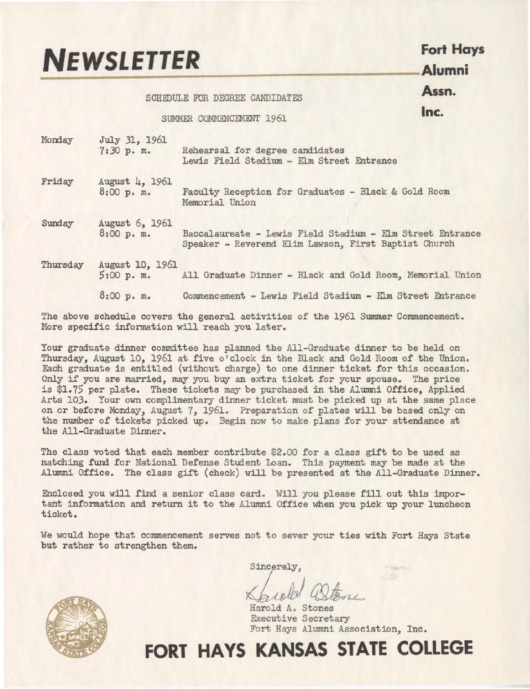# **NEWSLETTER** Fort Hays **Property**

#### SCHEDULE FOR DEGREE CANDIDATES **Assn.**

#### SUMMER COMMENCEMENT 1961 **Inc.**

| Monday   | July 31, 1961<br>7:30 p. m.   | Rehearsal for degree candidates<br>Lewis Field Stadium - Elm Street Entrance                                      |
|----------|-------------------------------|-------------------------------------------------------------------------------------------------------------------|
| Friday   | August 4, 1961<br>8:00 p. m.  | Faculty Reception for Graduates - Black & Gold Room<br>Memorial Union                                             |
| Sunday   | August 6, 1961<br>8:00 p. m.  | Baccalaureate - Lewis Field Stadium - Elm Street Entrance<br>Speaker - Reverend Elim Lawson, First Baptist Church |
| Thursday | August 10, 1961<br>5:00 p. m. | All Graduate Dinner - Black and Gold Room, Memorial Union                                                         |
|          | 8:00 p.m.                     | Commencement - Lewis Field Stadium - Elm Street Entrance                                                          |
|          |                               |                                                                                                                   |

The above schedule covers the general activities of the 1961 Summer Commencement. More specific information will reach you later.

Your graduate dinner committee has planned the All-Graduate dinner to be held on Thursday, August 10, 1961 at five o'clock in the Black and Gold Room of the Union. Each graduate is entitled (without charge) to one dinner ticket for this occasion. Only if you are married, may you buy an extra ticket for your spouse. The price is \$1.75 per plate. These tickets may be purchased in the Alumni Office, Applied Arts 103. Your own complimentary dinner ticket must be picked up at the same place on or before Monday, August 7, 1961. Preparation of plates will be based only on the number of tickets picked up. Begin now to make plans for your attendance at the All-Graduate Dinner.

The class voted that each member contribute \$2.00 for a class gift to be used as matching fund for National Defense Student Loan. This payment may be made at the Alumni Office. The class gift (check) will be presented at the All-Graduate Dinner.

Enclosed you will find a senior class card. Will you please fill out this important information and return it to the Alumni Office when you pick up your luncheon ticket.

We would hope that commencement serves not to sever your ties with Fort Hays State but rather to strengthen them.



sincerely,<br>Kareld Ostone

Harold A. Stones Executive Secretary Fort Hays Alumni Association, **Inc.** 

### **FORT HAYS KANSAS STATE COLLEGE**